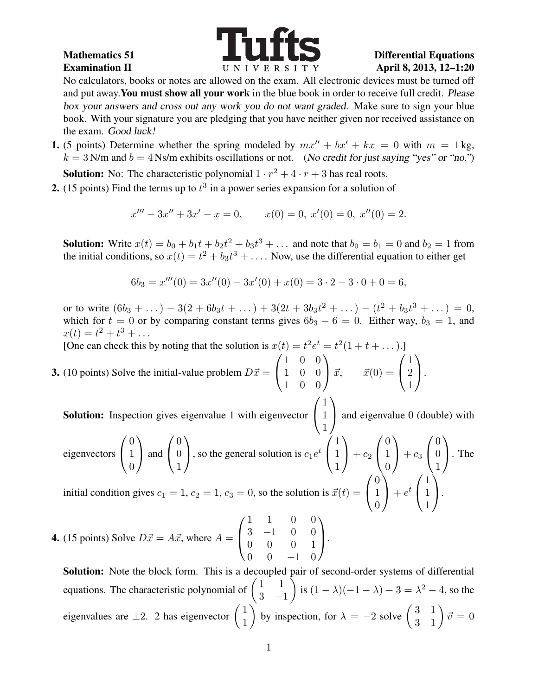

No calculators, books or notes are allowed on the exam. All electronic devices must be turned off and put away. You must show all your work in the blue book in order to receive full credit. Please box your answers and cross out any work you do not want graded. Make sure to sign your blue book. With your signature you are pledging that you have neither given nor received assistance on the exam. Good luck!

1. (5 points) Determine whether the spring modeled by  $mx'' + bx' + kx = 0$  with  $m = 1$  kg,  $k = 3$  N/m and  $b = 4$  Ns/m exhibits oscillations or not. (No credit for just saying "yes" or "no.")

**Solution:** No: The characteristic polynomial  $1 \cdot r^2 + 4 \cdot r + 3$  has real roots.

2. (15 points) Find the terms up to  $t^3$  in a power series expansion for a solution of

$$
x''' - 3x'' + 3x' - x = 0, \qquad x(0) = 0, \ x'(0) = 0, \ x''(0) = 2.
$$

**Solution:** Write  $x(t) = b_0 + b_1 t + b_2 t^2 + b_3 t^3 + \dots$  and note that  $b_0 = b_1 = 0$  and  $b_2 = 1$  from the initial conditions, so  $x(t) = t^2 + b_3 t^3 + \dots$ . Now, use the differential equation to either get

$$
6b_3 = x'''(0) = 3x''(0) - 3x'(0) + x(0) = 3 \cdot 2 - 3 \cdot 0 + 0 = 6,
$$

or to write  $(6b_3 + \dots) - 3(2 + 6b_3t + \dots) + 3(2t + 3b_3t^2 + \dots) - (t^2 + b_3t^3 + \dots) = 0$ , which for  $t = 0$  or by comparing constant terms gives  $6b_3 - 6 = 0$ . Either way,  $b_3 = 1$ , and  $x(t) = t^2 + t^3 + \dots$ 

[One can check this by noting that the solution is  $x(t) = t^2 e^t = t^2(1 + t + ...)$ ]

**3.** (10 points) Solve the initial-value problem  $D\vec{x} =$  $\sqrt{ }$  $\overline{1}$ 1 0 0 1 0 0 1 0 0  $\setminus$  $\int \vec{x}, \qquad \vec{x}(0) =$  $\sqrt{ }$  $\mathcal{L}$ 1 2 1  $\setminus$  $\cdot$  $\sqrt{ }$  $\setminus$ 

Solution: Inspection gives eigenvalue 1 with eigenvector  $\overline{1}$ 1 1 1 and eigenvalue 0 (double) with

eigenvectors 
$$
\begin{pmatrix} 0 \\ 1 \\ 0 \end{pmatrix}
$$
 and  $\begin{pmatrix} 0 \\ 0 \\ 1 \end{pmatrix}$ , so the general solution is  $c_1 e^t \begin{pmatrix} 1 \\ 1 \\ 1 \end{pmatrix} + c_2 \begin{pmatrix} 0 \\ 1 \\ 0 \end{pmatrix} + c_3 \begin{pmatrix} 0 \\ 0 \\ 1 \end{pmatrix}$ . The

initial condition gives  $c_1 = 1, c_2 = 1, c_3 = 0$ , so the solution is  $\vec{x}(t) =$  $\overline{1}$ 1  $\theta$  $\bigg\}+e^{t}\left(\begin{array}{c}\right.\\ \end{array}\right.$  $\mathcal{L}$ 1 1  $\cdot$ 

**4.** (15 points) Solve  $D\vec{x} = A\vec{x}$ , where  $A =$  $\sqrt{ }$  $\left\lfloor \right\rfloor$ 1 1 0 0 3 −1 0 0 0 0 0 1  $0 \t 0 \t -1 \t 0$  $\setminus$  $\cdot$ 

Solution: Note the block form. This is a decoupled pair of second-order systems of differential equations. The characteristic polynomial of  $\begin{pmatrix} 1 & 1 \\ 2 & 1 \end{pmatrix}$  $3 -1$ ) is  $(1 - \lambda)(-1 - \lambda) - 3 = \lambda^2 - 4$ , so the eigenvalues are  $\pm 2$ . 2 has eigenvector  $\begin{pmatrix} 1 \\ 1 \end{pmatrix}$ 1 by inspection, for  $\lambda = -2$  solve  $\begin{pmatrix} 3 & 1 \\ 3 & 1 \end{pmatrix} \vec{v} = 0$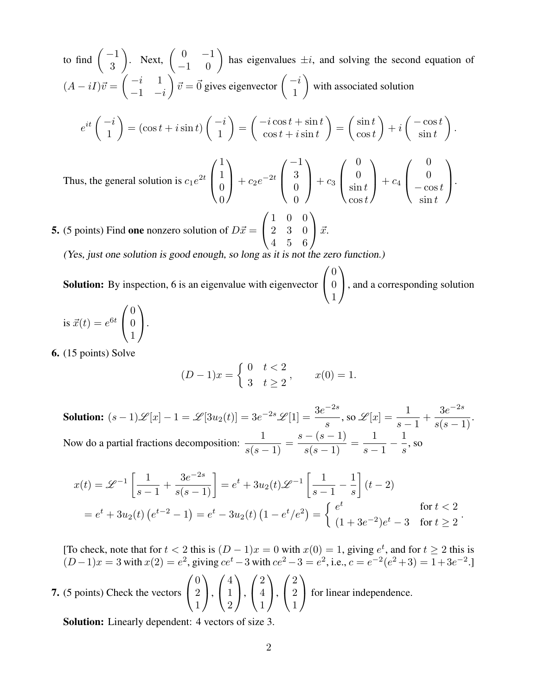to find  $\begin{pmatrix} -1 \\ 2 \end{pmatrix}$ 3 ). Next,  $\begin{pmatrix} 0 & -1 \\ -1 & 0 \end{pmatrix}$  has eigenvalues  $\pm i$ , and solving the second equation of  $(A - iI)\vec{v} = \begin{pmatrix} -i & 1 \\ 1 & i \end{pmatrix}$  $-1$   $-i$  $\int \vec{v} = \vec{0}$  gives eigenvector  $\begin{pmatrix} -i \\ 1 \end{pmatrix}$ 1  $\setminus$ with associated solution  $e^{it}\begin{pmatrix} -i \\ 1 \end{pmatrix}$ 1  $\setminus$  $=(\cos t + i\sin t)$  $\bigg(-i\bigg)$ 1  $\setminus$ =  $\int -i \cos t + \sin t$  $\cos t + i\sin t$  $\setminus$ =  $\int \sin t$  $\cos t$  $\setminus$  $+ i$  $\int -\cos t$  $\sin t$  $\setminus$ . Thus, the general solution is  $c_1e^{2t}$  $\sqrt{ }$  $\left\lfloor \right\rfloor$ 1 1  $\theta$  $\theta$  $\setminus$  $+ c_2 e^{-2t}$  $\sqrt{ }$  $\left\lfloor \right\rfloor$ −1 3  $\theta$  $\theta$  $\setminus$  $+ c_3$  $\sqrt{ }$  $\left\lfloor \right\rfloor$  $\theta$  $\theta$  $\sin t$  $\cos t$  $\setminus$  $+ c_4$  $\sqrt{ }$  $\left\lfloor \right\rfloor$  $\theta$  $\theta$  $-\cos t$  $\sin t$  $\setminus$  $\cdot$ **5.** (5 points) Find one nonzero solution of  $D\vec{x} =$  $\sqrt{ }$  $\mathcal{L}$ 1 0 0 2 3 0 4 5 6  $\setminus$  $\int \vec{x}$ .

(Yes, just one solution is good enough, so long as it is not the zero function.)

Solution: By inspection, 6 is an eigenvalue with eigenvector  $\sqrt{ }$  $\mathcal{L}$ 0 0 1  $\setminus$ , and a corresponding solution

is 
$$
\vec{x}(t) = e^{6t} \begin{pmatrix} 0 \\ 0 \\ 1 \end{pmatrix}
$$
.

6. (15 points) Solve

$$
(D-1)x = \begin{cases} 0 & t < 2 \\ 3 & t \ge 2 \end{cases}, \qquad x(0) = 1.
$$

**Solution:**  $(s-1)\mathscr{L}[x]-1=\mathscr{L}[3u_2(t)]=3e^{-2s}\mathscr{L}[1]=\frac{3e^{-2s}}{s}$ s , so  $\mathscr{L}[x] = \frac{1}{x}$  $\frac{1}{s-1} +$  $3e^{-2s}$  $\frac{3c}{s(s-1)}$ . Now do a partial fractions decomposition:  $\frac{1}{\sqrt{1-\frac{1}{\sqrt{1-\frac{1}{\sqrt{1-\frac{1}{\sqrt{1-\frac{1}{\sqrt{1-\frac{1}{\sqrt{1-\frac{1}{\sqrt{1-\frac{1}{\sqrt{1-\frac{1}{\sqrt{1-\frac{1}{\sqrt{1-\frac{1}{\sqrt{1-\frac{1}{\sqrt{1-\frac{1}{\sqrt{1-\frac{1}{\sqrt{1-\frac{1}{\sqrt{1-\frac{1}{\sqrt{1-\frac{1}{\sqrt{1-\frac{1}{\sqrt{1-\frac{1}{\sqrt{1-\frac{1}{\sqrt$  $\frac{1}{s(s-1)} =$  $s - (s - 1)$  $\frac{(s-1)}{s(s-1)} =$ 1  $s-1$ − 1 s , so

$$
x(t) = \mathcal{L}^{-1} \left[ \frac{1}{s-1} + \frac{3e^{-2s}}{s(s-1)} \right] = e^t + 3u_2(t)\mathcal{L}^{-1} \left[ \frac{1}{s-1} - \frac{1}{s} \right] (t-2)
$$
  
=  $e^t + 3u_2(t) (e^{t-2} - 1) = e^t - 3u_2(t) (1 - e^t/e^2) = \begin{cases} e^t & \text{for } t < 2 \\ (1 + 3e^{-2})e^t - 3 & \text{for } t \ge 2 \end{cases}$ 

[To check, note that for  $t < 2$  this is  $(D-1)x = 0$  with  $x(0) = 1$ , giving  $e^t$ , and for  $t \ge 2$  this is  $(D-1)x = 3$  with  $x(2) = e^2$ , giving  $ce^t - 3$  with  $ce^2 - 3 = e^2$ , i.e.,  $c = e^{-2}(e^2 + 3) = 1 + 3e^{-2}$ .

7. (5 points) Check the vectors 
$$
\begin{pmatrix} 0 \\ 2 \\ 1 \end{pmatrix}
$$
,  $\begin{pmatrix} 4 \\ 1 \\ 2 \end{pmatrix}$ ,  $\begin{pmatrix} 2 \\ 4 \\ 1 \end{pmatrix}$ ,  $\begin{pmatrix} 2 \\ 2 \\ 1 \end{pmatrix}$  for linear independence.

Solution: Linearly dependent: 4 vectors of size 3.